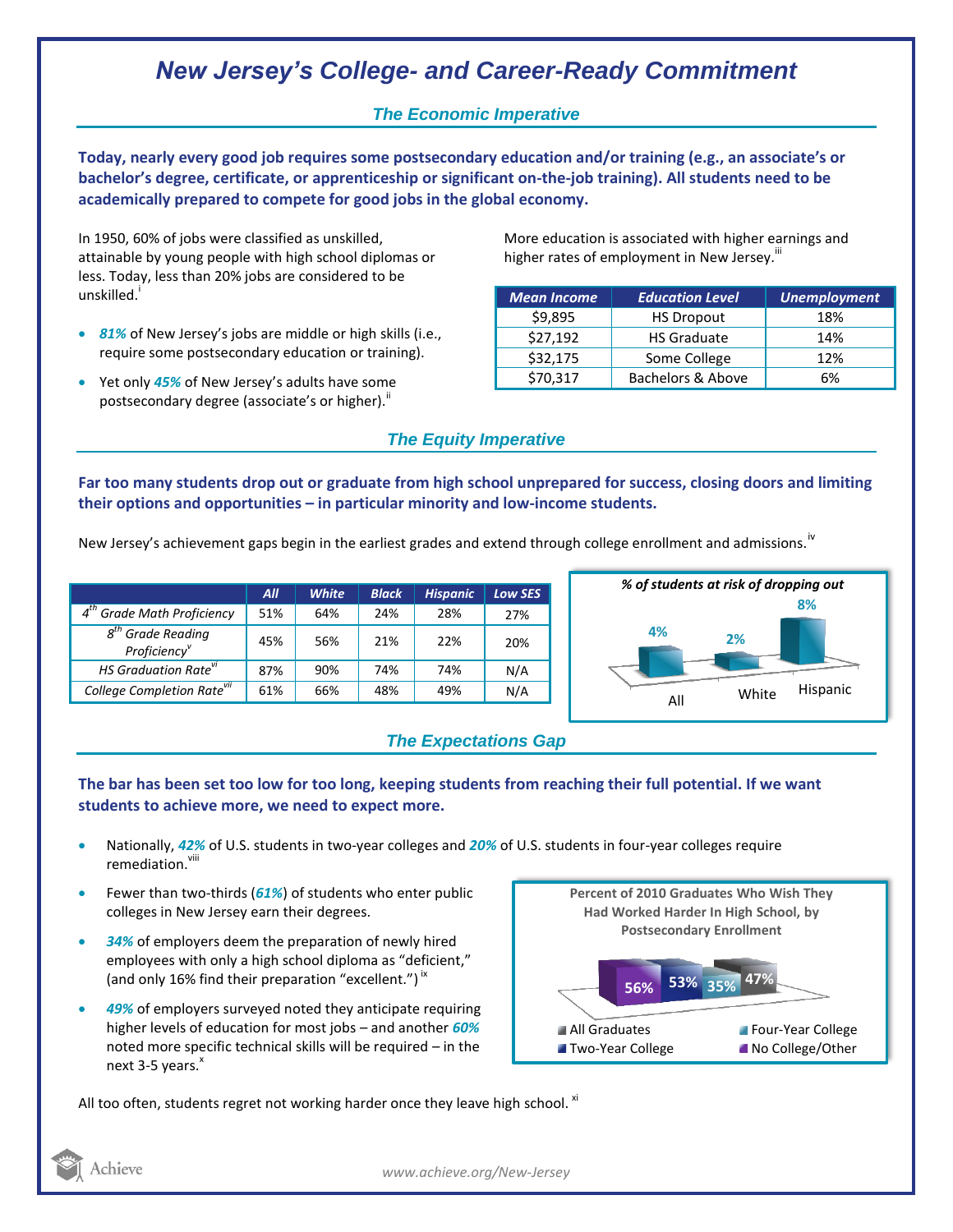# *New Jersey's College- and Career-Ready Commitment*

### *The Economic Imperative*

**Today, nearly every good job requires some postsecondary education and/or training (e.g., an associate's or bachelor's degree, certificate, or apprenticeship or significant on-the-job training). All students need to be academically prepared to compete for good jobs in the global economy.**

In 1950, 60% of jobs were classified as unskilled, attainable by young people with high school diplomas or less. Today, less than 20% jobs are considered to be unskilled.<sup>1</sup>

- *81%* of New Jersey's jobs are middle or high skills (i.e., require some postsecondary education or training).
- Yet only *45%* of New Jersey's adults have some postsecondary degree (associate's or higher)."

More education is associated with higher earnings and higher rates of employment in New Jersey.<sup>""</sup>

| <b>Mean Income</b> | <b>Education Level</b> | <b>Unemployment</b> |
|--------------------|------------------------|---------------------|
| \$9,895            | <b>HS Dropout</b>      | 18%                 |
| \$27,192           | <b>HS Graduate</b>     | 14%                 |
| \$32,175           | Some College           | 12%                 |
| \$70,317           | Bachelors & Above      | 6%                  |

## *The Equity Imperative*

**Far too many students drop out or graduate from high school unprepared for success, closing doors and limiting their options and opportunities – in particular minority and low-income students.** 

New Jersey's achievement gaps begin in the earliest grades and extend through college enrollment and admissions.<sup>iv</sup>

|                                                              | All | <b>White</b> | <b>Black</b> | <b>Hispanic</b> | Low SES |
|--------------------------------------------------------------|-----|--------------|--------------|-----------------|---------|
| <b>Grade Math Proficiency</b>                                | 51% | 64%          | 24%          | 28%             | 27%     |
| $s^{th}$<br><b>Grade Reading</b><br>Proficiency <sup>v</sup> | 45% | 56%          | 21%          | 22%             | 20%     |
| <b>HS Graduation Rate<sup>vi</sup></b>                       | 87% | 90%          | 74%          | 74%             | N/A     |
| College Completion Rate <sup>vii</sup>                       | 61% | 66%          | 48%          | 49%             | N/A     |





### **The bar has been set too low for too long, keeping students from reaching their full potential. If we want students to achieve more, we need to expect more.**

- Nationally, *42%* of U.S. students in two-year colleges and *20%* of U.S. students in four-year colleges require remediation.<sup>viii</sup>
- Fewer than two-thirds (*61%*) of students who enter public colleges in New Jersey earn their degrees.
- *34%* of employers deem the preparation of newly hired employees with only a high school diploma as "deficient," (and only 16% find their preparation "excellent.")<sup>ix</sup>
- *49%* of employers surveyed noted they anticipate requiring higher levels of education for most jobs – and another *60%* noted more specific technical skills will be required – in the next  $3-5$  years. $^{x}$



All too often, students regret not working harder once they leave high school.  $^{xi}$ 



*www.achieve.org/New-Jersey*